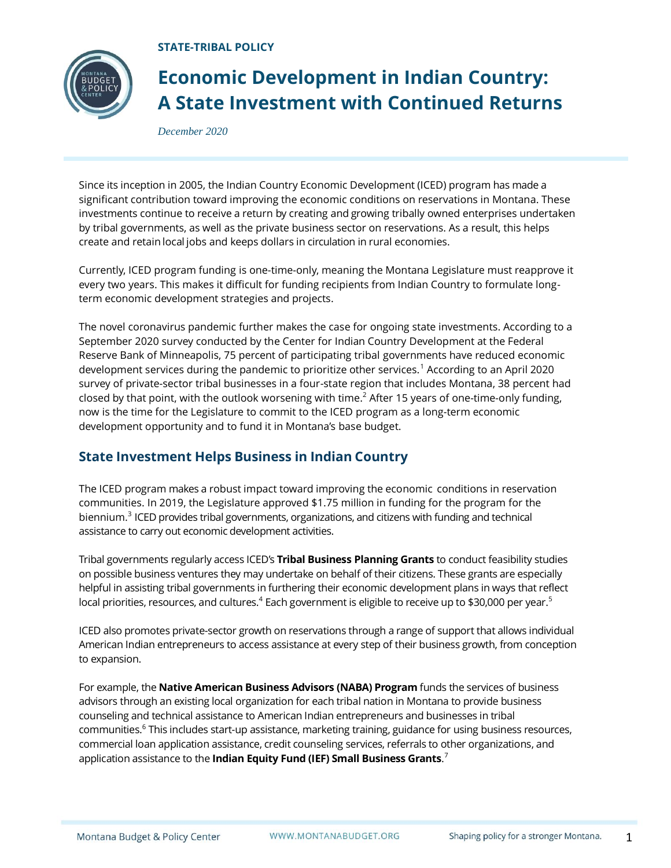**STATE-TRIBAL POLICY**



## **Economic Development in Indian Country: A State Investment with Continued Returns**

*December 2020*

Since its inception in 2005, the Indian Country Economic Development (ICED) program has made a significant contribution toward improving the economic conditions on reservations in Montana. These investments continue to receive a return by creating and growing tribally owned enterprises undertaken by tribal governments, as well as the private business sector on reservations. As a result, this helps create and retain local jobs and keeps dollars in circulation in rural economies.

Currently, ICED program funding is one-time-only, meaning the Montana Legislature must reapprove it every two years. This makes it difficult for funding recipients from Indian Country to formulate longterm economic development strategies and projects.

The novel coronavirus pandemic further makes the case for ongoing state investments. According to a September 2020 survey conducted by the Center for Indian Country Development at the Federal Reserve Bank of Minneapolis, 75 percent of participating tribal governments have reduced economic development services during the pandemic to prioritize other services.<sup>1</sup> According to an April 2020 survey of private-sector tribal businesses in a four-state region that includes Montana, 38 percent had closed by that point, with the outlook worsening with time. <sup>2</sup> After 15 years of one-time-only funding, now is the time for the Legislature to commit to the ICED program as a long-term economic development opportunity and to fund it in Montana's base budget.

## **State Investment Helps Business in Indian Country**

The ICED program makes a robust impact toward improving the economic conditions in reservation communities. In 2019, the Legislature approved \$1.75 million in funding for the program for the biennium. 3 ICED provides tribal governments, organizations, and citizens with funding and technical assistance to carry out economic development activities.

Tribal governments regularly access ICED's **Tribal Business Planning Grants** to conduct feasibility studies on possible business ventures they may undertake on behalf of their citizens. These grants are especially helpful in assisting tribal governments in furthering their economic development plans in ways that reflect local priorities, resources, and cultures. $^4$  Each government is eligible to receive up to \$30,000 per year. $^5$ 

ICED also promotes private-sector growth on reservations through a range of support that allows individual American Indian entrepreneurs to access assistance at every step of their business growth, from conception to expansion.

For example, the **Native American Business Advisors (NABA) Program** funds the services of business advisors through an existing local organization for each tribal nation in Montana to provide business counseling and technical assistance to American Indian entrepreneurs and businesses in tribal communities.<sup>6</sup> This includes start-up assistance, marketing training, guidance for using business resources, commercial loan application assistance, credit counseling services, referrals to other organizations, and application assistance to the **Indian Equity Fund (IEF) Small Business Grants**. 7